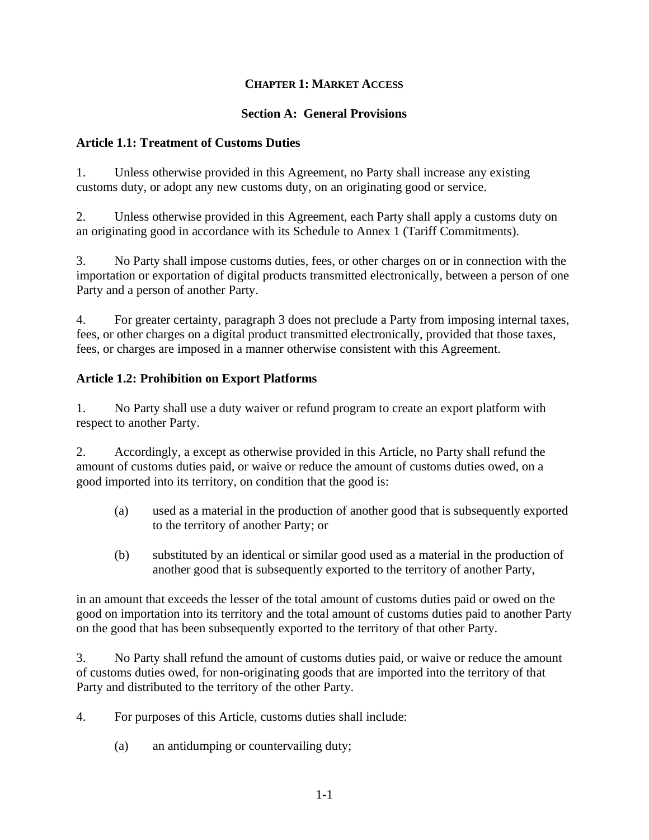#### **CHAPTER 1: MARKET ACCESS**

#### **Section A: General Provisions**

#### **Article 1.1: Treatment of Customs Duties**

1. Unless otherwise provided in this Agreement, no Party shall increase any existing customs duty, or adopt any new customs duty, on an originating good or service.

2. Unless otherwise provided in this Agreement, each Party shall apply a customs duty on an originating good in accordance with its Schedule to Annex 1 (Tariff Commitments).

3. No Party shall impose customs duties, fees, or other charges on or in connection with the importation or exportation of digital products transmitted electronically, between a person of one Party and a person of another Party.

4. For greater certainty, paragraph 3 does not preclude a Party from imposing internal taxes, fees, or other charges on a digital product transmitted electronically, provided that those taxes, fees, or charges are imposed in a manner otherwise consistent with this Agreement.

#### **Article 1.2: Prohibition on Export Platforms**

1. No Party shall use a duty waiver or refund program to create an export platform with respect to another Party.

2. Accordingly, a except as otherwise provided in this Article, no Party shall refund the amount of customs duties paid, or waive or reduce the amount of customs duties owed, on a good imported into its territory, on condition that the good is:

- (a) used as a material in the production of another good that is subsequently exported to the territory of another Party; or
- (b) substituted by an identical or similar good used as a material in the production of another good that is subsequently exported to the territory of another Party,

in an amount that exceeds the lesser of the total amount of customs duties paid or owed on the good on importation into its territory and the total amount of customs duties paid to another Party on the good that has been subsequently exported to the territory of that other Party.

3. No Party shall refund the amount of customs duties paid, or waive or reduce the amount of customs duties owed, for non-originating goods that are imported into the territory of that Party and distributed to the territory of the other Party.

4. For purposes of this Article, customs duties shall include:

(a) an antidumping or countervailing duty;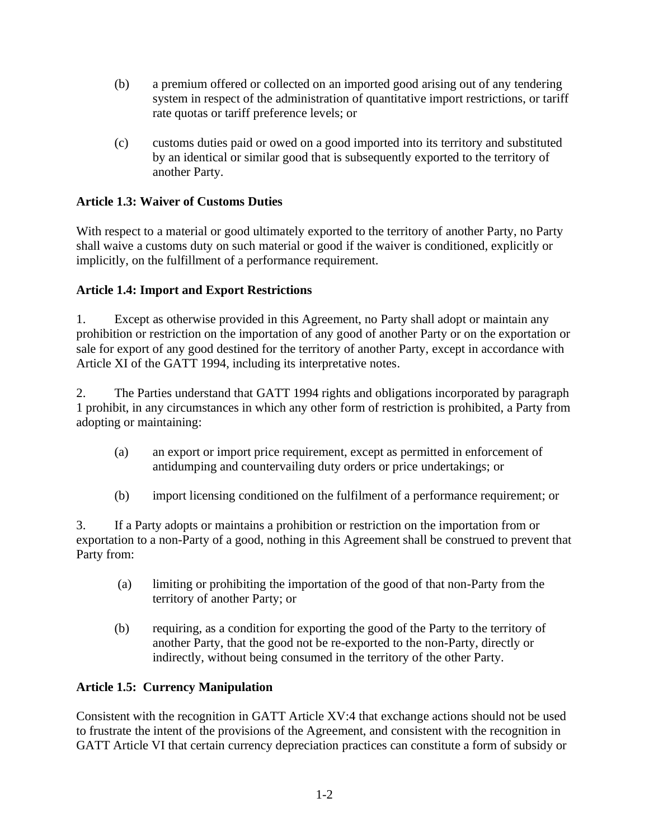- (b) a premium offered or collected on an imported good arising out of any tendering system in respect of the administration of quantitative import restrictions, or tariff rate quotas or tariff preference levels; or
- (c) customs duties paid or owed on a good imported into its territory and substituted by an identical or similar good that is subsequently exported to the territory of another Party.

## **Article 1.3: Waiver of Customs Duties**

With respect to a material or good ultimately exported to the territory of another Party, no Party shall waive a customs duty on such material or good if the waiver is conditioned, explicitly or implicitly, on the fulfillment of a performance requirement.

#### **Article 1.4: Import and Export Restrictions**

1. Except as otherwise provided in this Agreement, no Party shall adopt or maintain any prohibition or restriction on the importation of any good of another Party or on the exportation or sale for export of any good destined for the territory of another Party, except in accordance with Article XI of the GATT 1994, including its interpretative notes.

2. The Parties understand that GATT 1994 rights and obligations incorporated by paragraph 1 prohibit, in any circumstances in which any other form of restriction is prohibited, a Party from adopting or maintaining:

- (a) an export or import price requirement, except as permitted in enforcement of antidumping and countervailing duty orders or price undertakings; or
- (b) import licensing conditioned on the fulfilment of a performance requirement; or

3. If a Party adopts or maintains a prohibition or restriction on the importation from or exportation to a non-Party of a good, nothing in this Agreement shall be construed to prevent that Party from:

- (a) limiting or prohibiting the importation of the good of that non-Party from the territory of another Party; or
- (b) requiring, as a condition for exporting the good of the Party to the territory of another Party, that the good not be re-exported to the non-Party, directly or indirectly, without being consumed in the territory of the other Party.

#### **Article 1.5: Currency Manipulation**

Consistent with the recognition in GATT Article XV:4 that exchange actions should not be used to frustrate the intent of the provisions of the Agreement, and consistent with the recognition in GATT Article VI that certain currency depreciation practices can constitute a form of subsidy or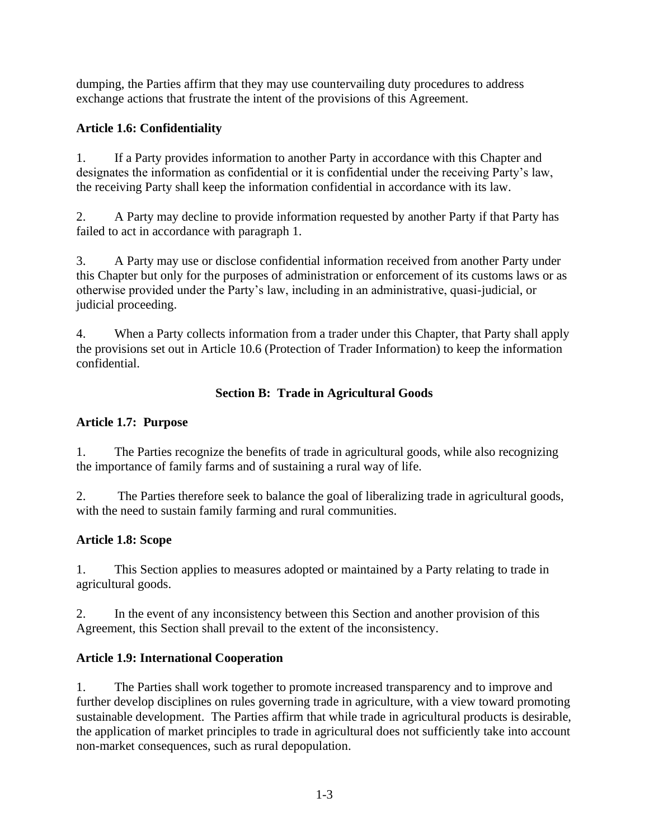dumping, the Parties affirm that they may use countervailing duty procedures to address exchange actions that frustrate the intent of the provisions of this Agreement.

## **Article 1.6: Confidentiality**

1. If a Party provides information to another Party in accordance with this Chapter and designates the information as confidential or it is confidential under the receiving Party's law, the receiving Party shall keep the information confidential in accordance with its law.

2. A Party may decline to provide information requested by another Party if that Party has failed to act in accordance with paragraph 1.

3. A Party may use or disclose confidential information received from another Party under this Chapter but only for the purposes of administration or enforcement of its customs laws or as otherwise provided under the Party's law, including in an administrative, quasi-judicial, or judicial proceeding.

4. When a Party collects information from a trader under this Chapter, that Party shall apply the provisions set out in Article 10.6 (Protection of Trader Information) to keep the information confidential.

#### **Section B: Trade in Agricultural Goods**

#### **Article 1.7: Purpose**

1. The Parties recognize the benefits of trade in agricultural goods, while also recognizing the importance of family farms and of sustaining a rural way of life.

2. The Parties therefore seek to balance the goal of liberalizing trade in agricultural goods, with the need to sustain family farming and rural communities.

#### **Article 1.8: Scope**

1. This Section applies to measures adopted or maintained by a Party relating to trade in agricultural goods.

2. In the event of any inconsistency between this Section and another provision of this Agreement, this Section shall prevail to the extent of the inconsistency.

#### **Article 1.9: International Cooperation**

1. The Parties shall work together to promote increased transparency and to improve and further develop disciplines on rules governing trade in agriculture, with a view toward promoting sustainable development. The Parties affirm that while trade in agricultural products is desirable, the application of market principles to trade in agricultural does not sufficiently take into account non-market consequences, such as rural depopulation.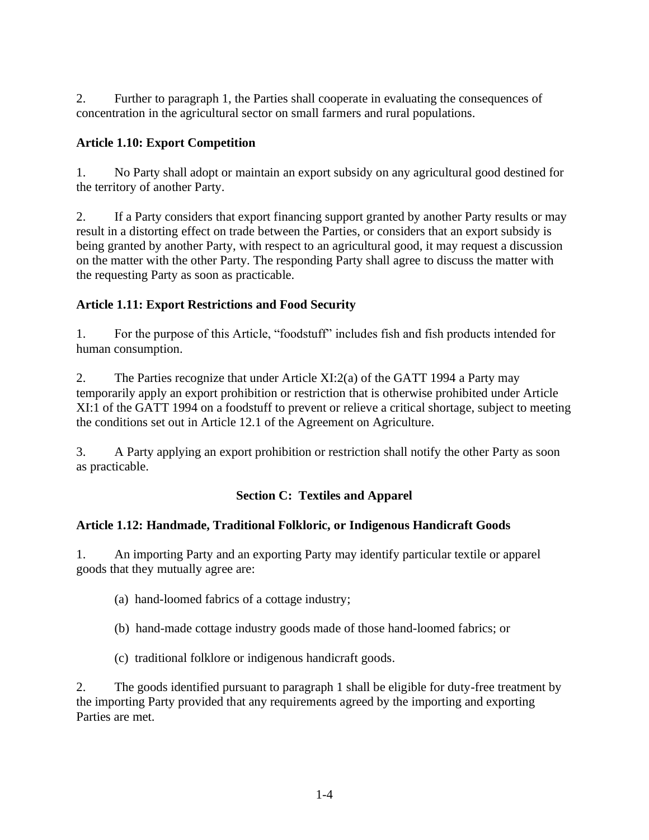2. Further to paragraph 1, the Parties shall cooperate in evaluating the consequences of concentration in the agricultural sector on small farmers and rural populations.

## **Article 1.10: Export Competition**

1. No Party shall adopt or maintain an export subsidy on any agricultural good destined for the territory of another Party.

2. If a Party considers that export financing support granted by another Party results or may result in a distorting effect on trade between the Parties, or considers that an export subsidy is being granted by another Party, with respect to an agricultural good, it may request a discussion on the matter with the other Party. The responding Party shall agree to discuss the matter with the requesting Party as soon as practicable.

# **Article 1.11: Export Restrictions and Food Security**

1. For the purpose of this Article, "foodstuff" includes fish and fish products intended for human consumption.

2. The Parties recognize that under Article XI:2(a) of the GATT 1994 a Party may temporarily apply an export prohibition or restriction that is otherwise prohibited under Article XI:1 of the GATT 1994 on a foodstuff to prevent or relieve a critical shortage, subject to meeting the conditions set out in Article 12.1 of the Agreement on Agriculture.

3. A Party applying an export prohibition or restriction shall notify the other Party as soon as practicable.

# **Section C: Textiles and Apparel**

# **Article 1.12: Handmade, Traditional Folkloric, or Indigenous Handicraft Goods**

1. An importing Party and an exporting Party may identify particular textile or apparel goods that they mutually agree are:

- (a) hand-loomed fabrics of a cottage industry;
- (b) hand-made cottage industry goods made of those hand-loomed fabrics; or
- (c) traditional folklore or indigenous handicraft goods.

2. The goods identified pursuant to paragraph 1 shall be eligible for duty-free treatment by the importing Party provided that any requirements agreed by the importing and exporting Parties are met.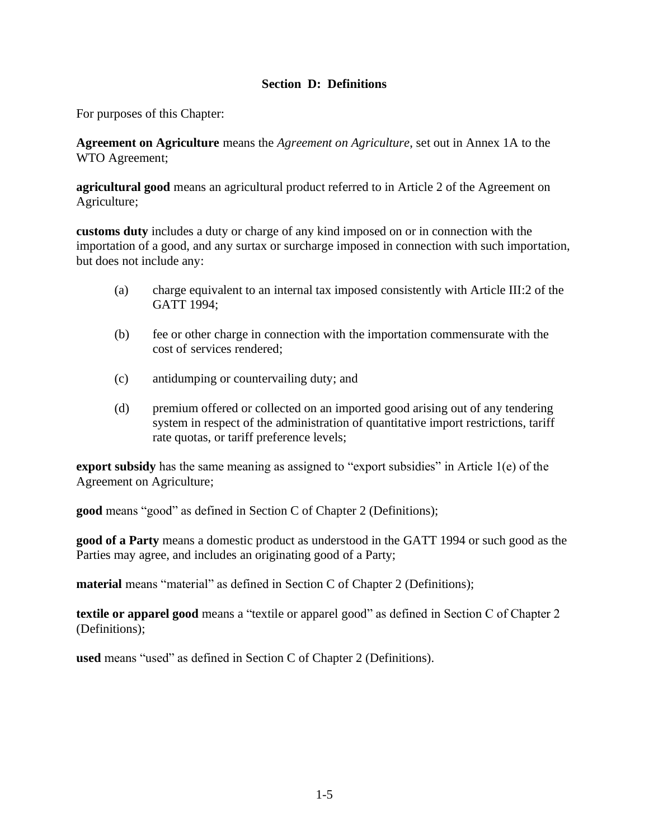#### **Section D: Definitions**

For purposes of this Chapter:

**Agreement on Agriculture** means the *Agreement on Agriculture*, set out in Annex 1A to the WTO Agreement;

**agricultural good** means an agricultural product referred to in Article 2 of the Agreement on Agriculture;

**customs duty** includes a duty or charge of any kind imposed on or in connection with the importation of a good, and any surtax or surcharge imposed in connection with such importation, but does not include any:

- (a) charge equivalent to an internal tax imposed consistently with Article III:2 of the GATT 1994;
- (b) fee or other charge in connection with the importation commensurate with the cost of services rendered;
- (c) antidumping or countervailing duty; and
- (d) premium offered or collected on an imported good arising out of any tendering system in respect of the administration of quantitative import restrictions, tariff rate quotas, or tariff preference levels;

**export subsidy** has the same meaning as assigned to "export subsidies" in Article 1(e) of the Agreement on Agriculture;

**good** means "good" as defined in Section C of Chapter 2 (Definitions);

**good of a Party** means a domestic product as understood in the GATT 1994 or such good as the Parties may agree, and includes an originating good of a Party;

**material** means "material" as defined in Section C of Chapter 2 (Definitions);

**textile or apparel good** means a "textile or apparel good" as defined in Section C of Chapter 2 (Definitions);

**used** means "used" as defined in Section C of Chapter 2 (Definitions).